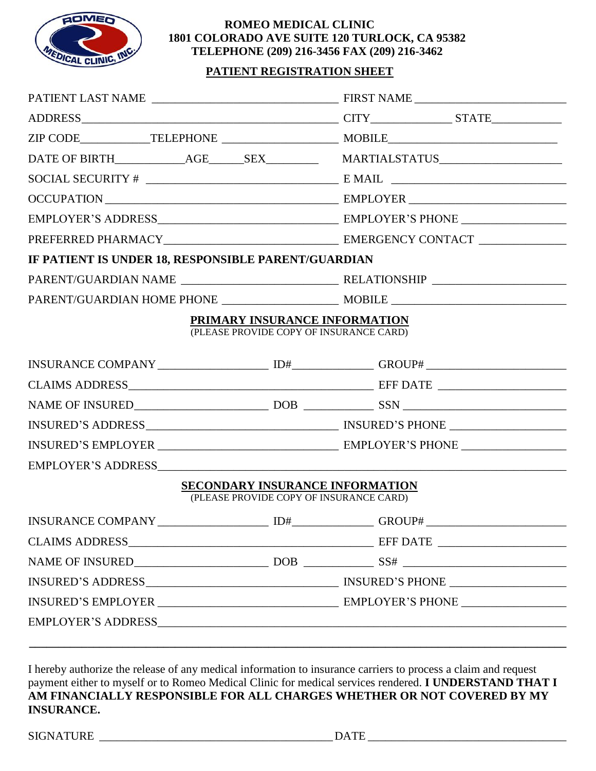

#### **ROMEO MEDICAL CLINIC 1801 COLORADO AVE SUITE 120 TURLOCK, CA 95382 TELEPHONE (209) 216-3456 FAX (209) 216-3462**

## **PATIENT REGISTRATION SHEET**

|                                                     | $\textbf{SOCIAL SECURITY} \; \# \; \underline{\hspace{2cm}} \hspace{2cm} \textbf{E MAIL} \; \underline{\hspace{2cm}}$ |                                                        |  |  |  |  |
|-----------------------------------------------------|-----------------------------------------------------------------------------------------------------------------------|--------------------------------------------------------|--|--|--|--|
|                                                     |                                                                                                                       |                                                        |  |  |  |  |
|                                                     |                                                                                                                       |                                                        |  |  |  |  |
|                                                     |                                                                                                                       |                                                        |  |  |  |  |
| IF PATIENT IS UNDER 18, RESPONSIBLE PARENT/GUARDIAN |                                                                                                                       |                                                        |  |  |  |  |
|                                                     |                                                                                                                       |                                                        |  |  |  |  |
|                                                     |                                                                                                                       |                                                        |  |  |  |  |
|                                                     | PRIMARY INSURANCE INFORMATION                                                                                         |                                                        |  |  |  |  |
|                                                     | (PLEASE PROVIDE COPY OF INSURANCE CARD)                                                                               |                                                        |  |  |  |  |
|                                                     |                                                                                                                       |                                                        |  |  |  |  |
|                                                     |                                                                                                                       |                                                        |  |  |  |  |
|                                                     |                                                                                                                       |                                                        |  |  |  |  |
|                                                     |                                                                                                                       |                                                        |  |  |  |  |
|                                                     |                                                                                                                       |                                                        |  |  |  |  |
|                                                     |                                                                                                                       |                                                        |  |  |  |  |
|                                                     |                                                                                                                       | <b>SECONDARY INSURANCE INFORMATION</b>                 |  |  |  |  |
|                                                     | (PLEASE PROVIDE COPY OF INSURANCE CARD)                                                                               |                                                        |  |  |  |  |
| <b>INSURANCE COMPANY</b>                            | ID#                                                                                                                   | GROUP#<br>the control of the control of the control of |  |  |  |  |
|                                                     |                                                                                                                       |                                                        |  |  |  |  |
|                                                     |                                                                                                                       |                                                        |  |  |  |  |
|                                                     |                                                                                                                       |                                                        |  |  |  |  |
|                                                     |                                                                                                                       |                                                        |  |  |  |  |
|                                                     |                                                                                                                       |                                                        |  |  |  |  |

I hereby authorize the release of any medical information to insurance carriers to process a claim and request payment either to myself or to Romeo Medical Clinic for medical services rendered. **I UNDERSTAND THAT I AM FINANCIALLY RESPONSIBLE FOR ALL CHARGES WHETHER OR NOT COVERED BY MY INSURANCE.** 

SIGNATURE \_\_\_\_\_\_\_\_\_\_\_\_\_\_\_\_\_\_\_\_\_\_\_\_\_\_\_\_\_\_\_\_\_\_\_\_\_\_\_\_ DATE \_\_\_\_\_\_\_\_\_\_\_\_\_\_\_\_\_\_\_\_\_\_\_\_\_\_\_\_\_\_\_\_\_\_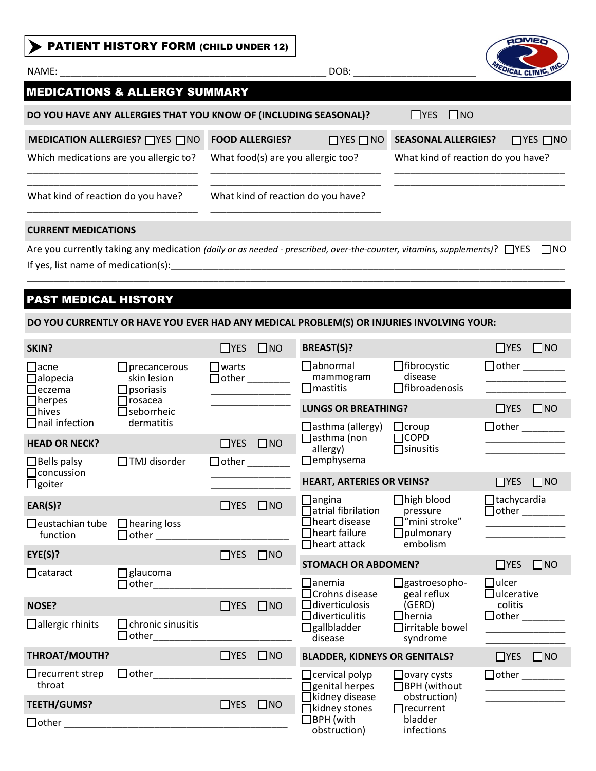| <b>PATIENT HISTORY FORM (CHILD UNDER 12)</b>                                                                                                                    |                                    |                      |                                    | <b>AOMEO</b>              |
|-----------------------------------------------------------------------------------------------------------------------------------------------------------------|------------------------------------|----------------------|------------------------------------|---------------------------|
|                                                                                                                                                                 |                                    | DOB:                 |                                    | <b>VEDICAL CLINIC, IN</b> |
| <b>MEDICATIONS &amp; ALLERGY SUMMARY</b>                                                                                                                        |                                    |                      |                                    |                           |
| DO YOU HAVE ANY ALLERGIES THAT YOU KNOW OF (INCLUDING SEASONAL)?                                                                                                |                                    |                      | $\Box$ YES $\Box$ NO               |                           |
| <b>MEDICATION ALLERGIES?</b> ■YES ■NO                                                                                                                           | <b>FOOD ALLERGIES?</b>             | $\Box$ YES $\Box$ NO | <b>SEASONAL ALLERGIES?</b>         | $\Box$ YES $\Box$ NO      |
| Which medications are you allergic to?                                                                                                                          | What food(s) are you allergic too? |                      | What kind of reaction do you have? |                           |
| What kind of reaction do you have?                                                                                                                              | What kind of reaction do you have? |                      |                                    |                           |
| <b>CURRENT MEDICATIONS</b>                                                                                                                                      |                                    |                      |                                    |                           |
| Are you currently taking any medication (daily or as needed - prescribed, over-the-counter, vitamins, supplements)? △YES<br>If yes, list name of medication(s): |                                    |                      |                                    | <b>TINO</b>               |
|                                                                                                                                                                 |                                    |                      |                                    |                           |

# **PAST MEDICAL HISTORY**

### DO YOU CURRENTLY OR HAVE YOU EVER HAD ANY MEDICAL PROBLEM(S) OR INJURIES INVOLVING YOUR:

| SKIN?                                                                                                     |                                                             | $\Box$ YES $\Box$ NO |                                                 | <b>BREAST(S)?</b>                                         |                                                     | $\Box$ YES $\Box$ NO              |
|-----------------------------------------------------------------------------------------------------------|-------------------------------------------------------------|----------------------|-------------------------------------------------|-----------------------------------------------------------|-----------------------------------------------------|-----------------------------------|
| $\Box$ acne<br>$\Box$ precancerous<br>skin lesion<br>$\Box$ alopecia<br>$\Box$ eczema<br>$\Box$ psoriasis | $\Box$ warts                                                |                      | $\Box$ abnormal<br>mammogram<br>$\Box$ mastitis | $\Box$ fibrocystic<br>disease<br>$\Box$ fibroadenosis     |                                                     |                                   |
| $\Box$ herpes<br>$\Box$ hives                                                                             | $\Box$ rosacea<br>$\Box$ seborrheic                         |                      |                                                 | <b>LUNGS OR BREATHING?</b>                                |                                                     | $\Box$ YES $\Box$ NO              |
| $\Box$ nail infection                                                                                     | dermatitis                                                  |                      |                                                 | $\Box$ asthma (allergy)                                   | $\Box$ croup                                        |                                   |
| <b>HEAD OR NECK?</b>                                                                                      |                                                             | $\Box$ YES $\Box$ NO |                                                 | $\Box$ asthma (non<br>allergy)                            | $\Box$ COPD<br>$\Box$ sinusitis                     |                                   |
| $\Box$ Bells palsy                                                                                        | $\Box$ TMJ disorder                                         | $\Box$ other $\_\_$  |                                                 | $\Box$ emphysema                                          |                                                     |                                   |
| $\Box$ concussion<br>$\Box$ goiter                                                                        |                                                             |                      |                                                 | <b>HEART, ARTERIES OR VEINS?</b>                          |                                                     | $\Box$ YES $\Box$ NO              |
| EAR(S)?                                                                                                   |                                                             | $\Box$ YES $\Box$ NO |                                                 | $\Box$ angina<br>Jatrial fibrilation                      | $\Box$ high blood<br>pressure                       | $\Box$ tachycardia                |
| $\Box$ eustachian tube<br>function                                                                        | $\Box$ hearing loss<br>$\Box$ other $\Box$ other $\Box$     |                      |                                                 | □ heart disease<br>$\Box$ heart failure                   | $\Box$ "mini stroke"<br>$\Box$ pulmonary            |                                   |
| EYE(S)?                                                                                                   |                                                             | $\Box$ YES           | $\Box$ NO                                       | $\Box$ heart attack                                       | embolism                                            |                                   |
| $\Box$ cataract                                                                                           | $\Box$ glaucoma                                             |                      |                                                 | <b>STOMACH OR ABDOMEN?</b>                                |                                                     | $\Box$ YES $\Box$ NO              |
|                                                                                                           | $\Box$ other                                                |                      |                                                 | $\mathsf{\hspace{1pt}\textsf{la}}$<br>∃Crohns disease     | $\Box$ gastroesopho-<br>geal reflux                 | $\Box$ ulcer<br>$\Box$ ulcerative |
| <b>NOSE?</b>                                                                                              |                                                             | $\Box$ YES           | $\square$ NO                                    | $\Box$ diverticulosis                                     | (GERD)                                              | colitis                           |
| $\Box$ allergic rhinits                                                                                   | $\Box$ chronic sinusitis<br>□ other________________________ |                      |                                                 | $\exists$ diverticulitis<br>$\Box$ gallbladder<br>disease | $\Box$ hernia<br>$\Box$ irritable bowel<br>syndrome |                                   |
| <b>THROAT/MOUTH?</b>                                                                                      |                                                             | $\Box$ YES           | $\square$ NO                                    | <b>BLADDER, KIDNEYS OR GENITALS?</b>                      |                                                     | $\Box$ YES $\Box$ NO              |
| $\Box$ recurrent strep<br>throat                                                                          |                                                             |                      |                                                 | $\Box$ cervical polyp<br>$\Box$ genital herpes            | $\Box$ ovary cysts<br>□BPH (without                 |                                   |
| <b>TEETH/GUMS?</b>                                                                                        |                                                             | $\Box$ YES           | $\square$ NO                                    | $\Box$ kidney disease<br>$\Box$ kidney stones             | obstruction)<br>$\Box$ recurrent                    |                                   |
| $\Box$ other                                                                                              |                                                             |                      |                                                 | $\Box$ BPH (with<br>obstruction)                          | bladder<br>infections                               |                                   |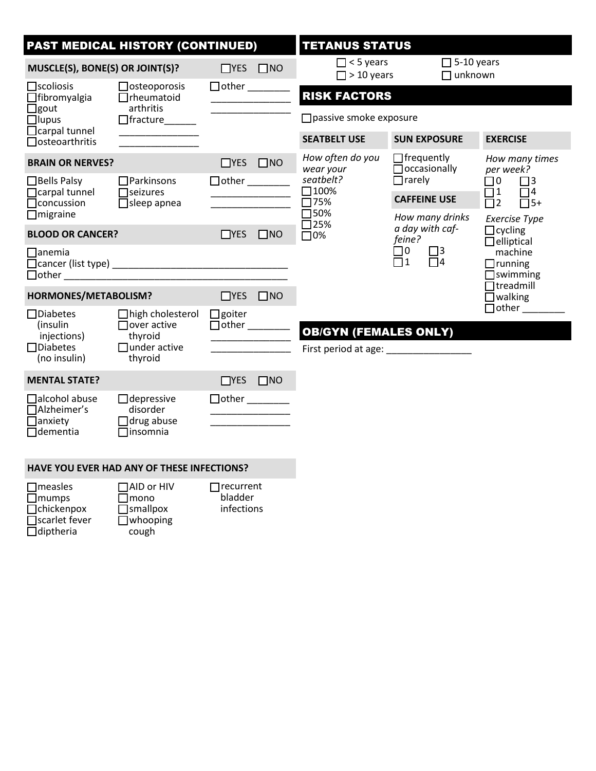| <b>PAST MEDICAL HISTORY (CONTINUED)</b>                                             |                                                                                            |                      | <b>TETANUS STATUS</b>       |                                                                           |                                                                     |                                              |                                                                              |  |  |
|-------------------------------------------------------------------------------------|--------------------------------------------------------------------------------------------|----------------------|-----------------------------|---------------------------------------------------------------------------|---------------------------------------------------------------------|----------------------------------------------|------------------------------------------------------------------------------|--|--|
| MUSCLE(S), BONE(S) OR JOINT(S)?                                                     |                                                                                            | $\Box$ YES $\Box$ NO |                             | $\Box$ < 5 years<br>$\Box$ > 10 years                                     |                                                                     | $\Box$ 5-10 years<br>$\Box$ unknown          |                                                                              |  |  |
| $\Box$ scoliosis<br>$\Box$ osteoporosis<br>$\Box$ fibromyalgia<br>$\Box$ rheumatoid | $\Box$ other                                                                               |                      | <b>RISK FACTORS</b>         |                                                                           |                                                                     |                                              |                                                                              |  |  |
| $\Box$ gout<br>$\Box$ lupus                                                         | arthritis<br>$\Box$ fracture                                                               |                      |                             |                                                                           |                                                                     | $\Box$ passive smoke exposure                |                                                                              |  |  |
| $\Box$ carpal tunnel<br>$\Box$ osteoarthritis                                       |                                                                                            |                      |                             | <b>SEATBELT USE</b>                                                       | <b>SUN EXPOSURE</b>                                                 |                                              | <b>EXERCISE</b>                                                              |  |  |
| <b>BRAIN OR NERVES?</b>                                                             |                                                                                            | $\Box$ YES $\Box$ NO |                             | How often do you<br>$\Box$ frequently<br>$\Box$ occasionally<br>wear your |                                                                     | How many times<br>per week?                  |                                                                              |  |  |
| $\Box$ Bells Palsy<br>$\Box$ carpal tunnel                                          | $\Box$ Parkinsons<br>$\Box$ seizures                                                       |                      | seatbelt?<br>$\square$ 100% | $\Box$ rarely                                                             |                                                                     | $\Box$ 0<br>$\Box$ 3<br>$\Box$ 1<br>$\Box$ 4 |                                                                              |  |  |
| $\Box$ concussion<br>$\Box$ migraine                                                | $\Box$ sleep apnea                                                                         |                      |                             | $\Pi$ 75%<br>$\square$ 50%                                                | <b>CAFFEINE USE</b><br>How many drinks<br>a day with caf-<br>feine? |                                              | $\overline{\square}2$<br>$\Box$ 5+<br><b>Exercise Type</b><br>$\Box$ cycling |  |  |
| <b>BLOOD OR CANCER?</b>                                                             |                                                                                            | $\Box$ YES $\Box$ NO |                             | $\square$ 25%<br>$\Box$ 0%                                                |                                                                     |                                              |                                                                              |  |  |
| $\Box$ anemia                                                                       | $\Box$ other $\Box$ other $\Box$                                                           |                      |                             |                                                                           | $\square$ 0<br>$\square$<br>$\overline{\Box}$ 1<br>$\Box$ 4         |                                              | $\Box$ elliptical<br>machine<br>$\Box$ running<br>$\Box$ swimming            |  |  |
| HORMONES/METABOLISM?                                                                |                                                                                            | $\Box$ YES $\Box$ NO |                             |                                                                           |                                                                     |                                              | $\Box$ treadmill<br>$\Box$ walking                                           |  |  |
| $\Box$ Diabetes<br>(insulin<br>injections)<br>$\Box$ Diabetes<br>(no insulin)       | $\Box$ high cholesterol<br>$\Box$ over active<br>thyroid<br>$\Box$ under active<br>thyroid | $\Box$ goiter        |                             | <b>OB/GYN (FEMALES ONLY)</b><br>First period at age:                      |                                                                     |                                              | $\Box$ other $\_\_$                                                          |  |  |
| <b>MENTAL STATE?</b>                                                                |                                                                                            | $TYS$ $TNO$          |                             |                                                                           |                                                                     |                                              |                                                                              |  |  |
| $\Box$ alcohol abuse<br>$\Box$ Alzheimer's<br>$\Box$ anxiety<br>$\Box$ dementia     | $\Box$ depressive<br>disorder<br>$\Box$ drug abuse<br>$\Box$ insomnia                      |                      |                             |                                                                           |                                                                     |                                              |                                                                              |  |  |

#### **HAVE YOU EVER HAD ANY OF THESE INFECTIONS?**

| $\Box$ measles       | $\Box$ AID or HIV | $\Box$ recurrent |
|----------------------|-------------------|------------------|
| $\Box$ mumps         | $\Box$ mono       | bladder          |
| $\Box$ chickenpox    | $\Box$ smallpox   | infections       |
| $\Box$ scarlet fever | $\Box$ whooping   |                  |
| $\Box$ diptheria     | cough             |                  |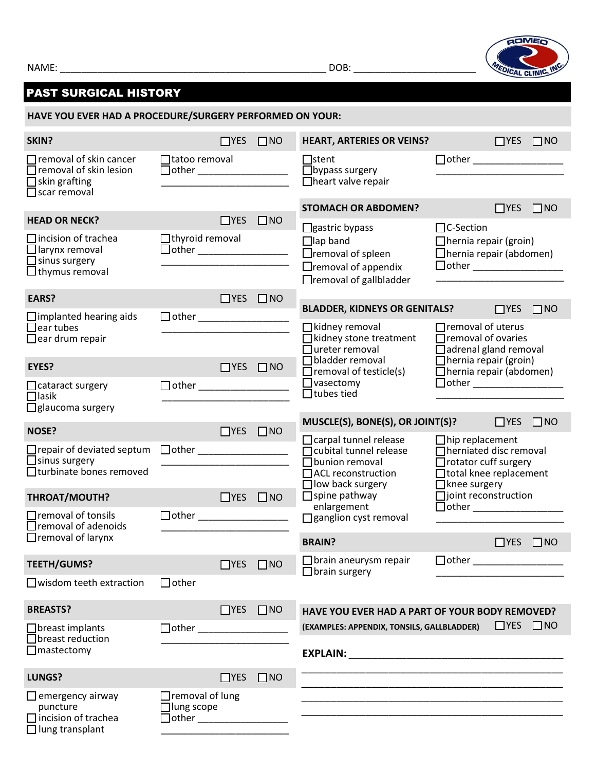NAME: \_\_\_\_\_\_\_\_\_\_\_\_\_\_\_\_\_\_\_\_\_\_\_\_\_\_\_\_\_\_\_\_\_\_\_\_\_\_\_\_\_\_\_\_\_\_\_\_\_\_ DOB: \_\_\_\_\_\_\_\_\_\_\_\_\_\_\_\_\_\_\_\_\_\_\_

 $\Box$  lung transplant



# PAST SURGICAL HISTORY

**HAVE YOU EVER HAD A PROCEDURE/SURGERY PERFORMED ON YOUR:** 

| SKIN?                                                                                                                           |                                                                                 | $\Box$ YES           | $\Box$ NO    | <b>HEART, ARTERIES OR VEINS?</b>                                                                                                                                                                                                  |                                                                                                                                                                                             | $\Box$ YES $\Box$ NO |           |
|---------------------------------------------------------------------------------------------------------------------------------|---------------------------------------------------------------------------------|----------------------|--------------|-----------------------------------------------------------------------------------------------------------------------------------------------------------------------------------------------------------------------------------|---------------------------------------------------------------------------------------------------------------------------------------------------------------------------------------------|----------------------|-----------|
| Tremoval of skin cancer<br>removal of skin lesion<br>skin grafting<br>$\Box$ scar removal                                       | □ tatoo removal                                                                 |                      |              | $\Box$ stent<br>$\Box$ bypass surgery<br>$\Box$ heart valve repair                                                                                                                                                                |                                                                                                                                                                                             |                      |           |
|                                                                                                                                 |                                                                                 |                      |              | <b>STOMACH OR ABDOMEN?</b>                                                                                                                                                                                                        |                                                                                                                                                                                             | $\Box$ YES $\Box$ NO |           |
| <b>HEAD OR NECK?</b><br>$\Box$ incision of trachea<br>$\Box$ larynx removal<br>$\Box$ sinus surgery<br>$\Box$ thymus removal    | $\Box$ thyroid removal                                                          | $\Box$ YES $\Box$ NO |              | $\Box$ gastric bypass<br>$\Box$ lap band<br>$\Box$ removal of spleen<br>$\Box$ removal of appendix<br>$\Box$ removal of gallbladder                                                                                               | $\Box$ C-Section<br>$\Box$ hernia repair (groin)<br>$\Box$ hernia repair (abdomen)                                                                                                          |                      |           |
| EARS?                                                                                                                           |                                                                                 | $\Box$ YES $\Box$ NO |              |                                                                                                                                                                                                                                   |                                                                                                                                                                                             |                      |           |
| $\Box$ implanted hearing aids<br>$\Box$ ear tubes<br>$\Box$ ear drum repair<br>EYES?<br>$\Box$ cataract surgery<br>$\Box$ lasik |                                                                                 | $\Box$ YES $\Box$ NO |              | <b>BLADDER, KIDNEYS OR GENITALS?</b> □ YES □ NO<br>$\Box$ kidney removal<br>□ kidney stone treatment<br>$\Box$ ureter removal<br>$\Box$ bladder removal<br>$\Box$ removal of testicle(s)<br>$\Box$ vasectomy<br>$\Box$ tubes tied | $\Box$ removal of uterus<br>$\Box$ removal of ovaries<br>$\Box$ adrenal gland removal<br>$\Box$ hernia repair (groin)<br>$\Box$ hernia repair (abdomen)<br>$\Box$ other $\Box$ other $\Box$ |                      |           |
| $\Box$ glaucoma surgery                                                                                                         |                                                                                 |                      |              | <b>MUSCLE(S), BONE(S), OR JOINT(S)?</b> $\Box$ YES $\Box$ NO                                                                                                                                                                      |                                                                                                                                                                                             |                      |           |
| <b>NOSE?</b>                                                                                                                    |                                                                                 | $\Box$ YES $\Box$ NO |              | $\Box$ carpal tunnel release                                                                                                                                                                                                      | $\Box$ hip replacement                                                                                                                                                                      |                      |           |
| $\Box$ repair of deviated septum<br>$\Box$ sinus surgery<br>□ turbinate bones removed<br>THROAT/MOUTH?                          |                                                                                 | $\Box$ YES $\Box$ NO |              | □ cubital tunnel release<br>$\Box$ bunion removal<br>$\Box$ ACL reconstruction<br>$\Box$ low back surgery<br>$\Box$ spine pathway                                                                                                 | $\Box$ herniated disc removal<br>$\Box$ rotator cuff surgery<br>$\Box$ total knee replacement<br>$\Box$ knee surgery<br>□ joint reconstruction                                              |                      |           |
| $\Box$ removal of tonsils<br>$\Box$ removal of adenoids                                                                         |                                                                                 |                      |              | enlargement<br>□ ganglion cyst removal                                                                                                                                                                                            |                                                                                                                                                                                             |                      |           |
| $\Box$ removal of larynx                                                                                                        |                                                                                 |                      |              | <b>BRAIN?</b>                                                                                                                                                                                                                     |                                                                                                                                                                                             | $\Box$ YES           | $\Box$ NO |
| <b>TEETH/GUMS?</b>                                                                                                              |                                                                                 | $\Box$ YES $\Box$ NO |              | $\Box$ brain aneurysm repair                                                                                                                                                                                                      | $\Box$ other                                                                                                                                                                                |                      |           |
| $\Box$ wisdom teeth extraction                                                                                                  | $\Box$ other                                                                    |                      |              | $\Box$ brain surgery                                                                                                                                                                                                              |                                                                                                                                                                                             |                      |           |
| <b>BREASTS?</b>                                                                                                                 |                                                                                 | $\Box$ YES $\Box$ NO |              | HAVE YOU EVER HAD A PART OF YOUR BODY REMOVED?                                                                                                                                                                                    |                                                                                                                                                                                             |                      |           |
| $\Box$ breast implants<br>Jbreast reduction<br>$\Box$ mastectomy                                                                |                                                                                 |                      |              | (EXAMPLES: APPENDIX, TONSILS, GALLBLADDER)                                                                                                                                                                                        |                                                                                                                                                                                             | $\Box$ YES           | $\Box$ NO |
| <b>LUNGS?</b>                                                                                                                   |                                                                                 | $\Box$ YES           | $\square$ NO |                                                                                                                                                                                                                                   |                                                                                                                                                                                             |                      |           |
| $\Box$ emergency airway<br>puncture<br>incision of trachea                                                                      | $\Box$ removal of lung<br>$\Box$ lung scope<br>$\Box$ other the state of $\Box$ |                      |              |                                                                                                                                                                                                                                   |                                                                                                                                                                                             |                      |           |

\_\_\_\_\_\_\_\_\_\_\_\_\_\_\_\_\_\_\_\_\_\_\_\_